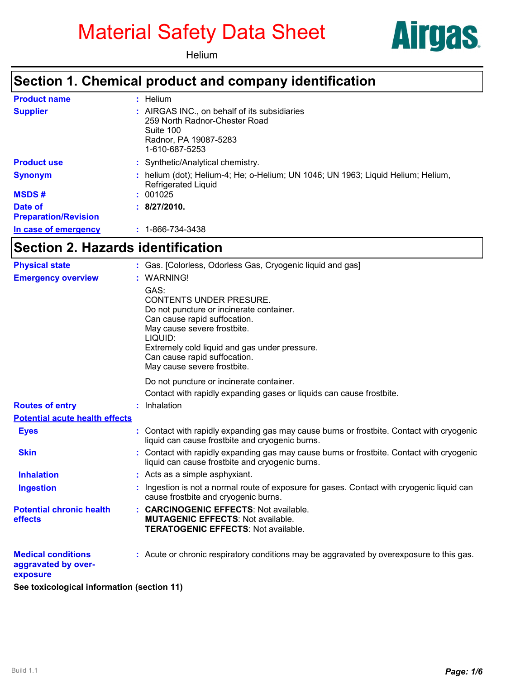# Material Safety Data Sheet





# **Section 1. Chemical product and company identification**

| <b>Product name</b>                    | $:$ Helium                                                                                                                            |
|----------------------------------------|---------------------------------------------------------------------------------------------------------------------------------------|
| <b>Supplier</b>                        | : AIRGAS INC., on behalf of its subsidiaries<br>259 North Radnor-Chester Road<br>Suite 100<br>Radnor, PA 19087-5283<br>1-610-687-5253 |
| <b>Product use</b>                     | : Synthetic/Analytical chemistry.                                                                                                     |
| <b>Synonym</b>                         | : helium (dot); Helium-4; He; o-Helium; UN 1046; UN 1963; Liquid Helium; Helium,<br><b>Refrigerated Liquid</b>                        |
| <b>MSDS#</b>                           | : 001025                                                                                                                              |
| Date of<br><b>Preparation/Revision</b> | : 8/27/2010.                                                                                                                          |
| In case of emergency                   | $: 1 - 866 - 734 - 3438$                                                                                                              |

#### **Section 2. Hazards identification**

| <b>Physical state</b>                                        | : Gas. [Colorless, Odorless Gas, Cryogenic liquid and gas]                                                                                                                                                                                                                   |
|--------------------------------------------------------------|------------------------------------------------------------------------------------------------------------------------------------------------------------------------------------------------------------------------------------------------------------------------------|
| <b>Emergency overview</b>                                    | : WARNING!                                                                                                                                                                                                                                                                   |
|                                                              | GAS:<br><b>CONTENTS UNDER PRESURE.</b><br>Do not puncture or incinerate container.<br>Can cause rapid suffocation.<br>May cause severe frostbite.<br>LIQUID:<br>Extremely cold liquid and gas under pressure.<br>Can cause rapid suffocation.<br>May cause severe frostbite. |
|                                                              | Do not puncture or incinerate container.                                                                                                                                                                                                                                     |
|                                                              | Contact with rapidly expanding gases or liquids can cause frostbite.                                                                                                                                                                                                         |
| <b>Routes of entry</b>                                       | : Inhalation                                                                                                                                                                                                                                                                 |
| <b>Potential acute health effects</b>                        |                                                                                                                                                                                                                                                                              |
| <b>Eyes</b>                                                  | : Contact with rapidly expanding gas may cause burns or frostbite. Contact with cryogenic<br>liquid can cause frostbite and cryogenic burns.                                                                                                                                 |
| <b>Skin</b>                                                  | : Contact with rapidly expanding gas may cause burns or frostbite. Contact with cryogenic<br>liquid can cause frostbite and cryogenic burns.                                                                                                                                 |
| <b>Inhalation</b>                                            | : Acts as a simple asphyxiant.                                                                                                                                                                                                                                               |
| <b>Ingestion</b>                                             | Ingestion is not a normal route of exposure for gases. Contact with cryogenic liquid can<br>cause frostbite and cryogenic burns.                                                                                                                                             |
| <b>Potential chronic health</b><br>effects                   | : CARCINOGENIC EFFECTS: Not available.<br><b>MUTAGENIC EFFECTS: Not available.</b><br><b>TERATOGENIC EFFECTS: Not available.</b>                                                                                                                                             |
| <b>Medical conditions</b><br>aggravated by over-<br>exposure | : Acute or chronic respiratory conditions may be aggravated by overexposure to this gas.                                                                                                                                                                                     |

**See toxicological information (section 11)**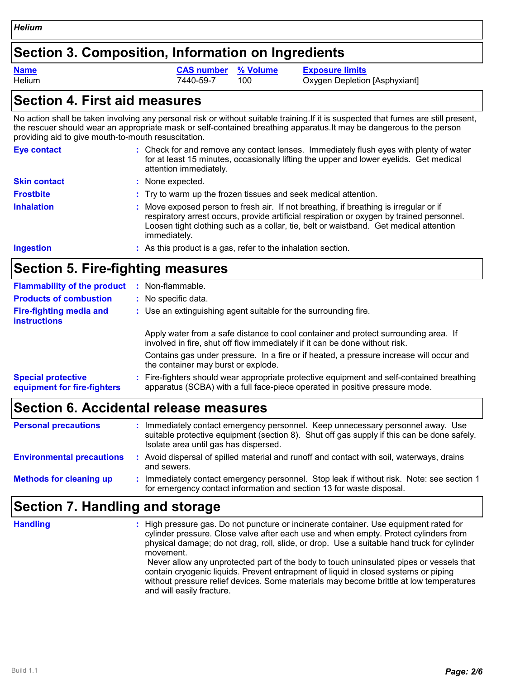#### **Section 3. Composition, Information on Ingredients**

**Name CAS number % Volume Exposure limits**

Helium **7440-59-7** 100 Oxygen Depletion [Asphyxiant]

#### **Section 4. First aid measures**

No action shall be taken involving any personal risk or without suitable training.If it is suspected that fumes are still present, the rescuer should wear an appropriate mask or self-contained breathing apparatus.It may be dangerous to the person providing aid to give mouth-to-mouth resuscitation.

| Eye contact         | : Check for and remove any contact lenses. Immediately flush eyes with plenty of water<br>for at least 15 minutes, occasionally lifting the upper and lower eyelids. Get medical<br>attention immediately.                                                                                  |
|---------------------|---------------------------------------------------------------------------------------------------------------------------------------------------------------------------------------------------------------------------------------------------------------------------------------------|
| <b>Skin contact</b> | : None expected.                                                                                                                                                                                                                                                                            |
| <b>Frostbite</b>    | : Try to warm up the frozen tissues and seek medical attention.                                                                                                                                                                                                                             |
| <b>Inhalation</b>   | : Move exposed person to fresh air. If not breathing, if breathing is irregular or if<br>respiratory arrest occurs, provide artificial respiration or oxygen by trained personnel.<br>Loosen tight clothing such as a collar, tie, belt or waistband. Get medical attention<br>immediately. |
| <b>Ingestion</b>    | : As this product is a gas, refer to the inhalation section.                                                                                                                                                                                                                                |

# **Section 5. Fire-fighting measures**

| <b>Flammability of the product</b>                       | $:$ Non-flammable.                                                                                                                                                       |
|----------------------------------------------------------|--------------------------------------------------------------------------------------------------------------------------------------------------------------------------|
| <b>Products of combustion</b>                            | : No specific data.                                                                                                                                                      |
| <b>Fire-fighting media and</b><br><b>instructions</b>    | : Use an extinguishing agent suitable for the surrounding fire.                                                                                                          |
|                                                          | Apply water from a safe distance to cool container and protect surrounding area. If<br>involved in fire, shut off flow immediately if it can be done without risk.       |
|                                                          | Contains gas under pressure. In a fire or if heated, a pressure increase will occur and<br>the container may burst or explode.                                           |
| <b>Special protective</b><br>equipment for fire-fighters | : Fire-fighters should wear appropriate protective equipment and self-contained breathing<br>apparatus (SCBA) with a full face-piece operated in positive pressure mode. |
|                                                          |                                                                                                                                                                          |

# **Section 6. Accidental release measures**

| <b>Personal precautions</b>      | Immediately contact emergency personnel. Keep unnecessary personnel away. Use<br>suitable protective equipment (section 8). Shut off gas supply if this can be done safely.<br>Isolate area until gas has dispersed. |
|----------------------------------|----------------------------------------------------------------------------------------------------------------------------------------------------------------------------------------------------------------------|
| <b>Environmental precautions</b> | Avoid dispersal of spilled material and runoff and contact with soil, waterways, drains<br>and sewers.                                                                                                               |
| <b>Methods for cleaning up</b>   | Immediately contact emergency personnel. Stop leak if without risk. Note: see section 1<br>for emergency contact information and section 13 for waste disposal.                                                      |

# **Section 7. Handling and storage**

**Handling :**

High pressure gas. Do not puncture or incinerate container. Use equipment rated for cylinder pressure. Close valve after each use and when empty. Protect cylinders from physical damage; do not drag, roll, slide, or drop. Use a suitable hand truck for cylinder movement. Never allow any unprotected part of the body to touch uninsulated pipes or vessels that contain cryogenic liquids. Prevent entrapment of liquid in closed systems or piping without pressure relief devices. Some materials may become brittle at low temperatures and will easily fracture.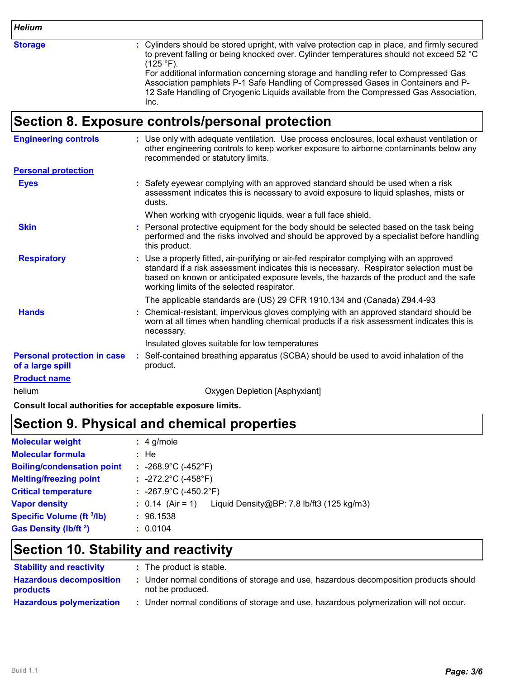*Helium*

**Storage :**

Cylinders should be stored upright, with valve protection cap in place, and firmly secured to prevent falling or being knocked over. Cylinder temperatures should not exceed 52 °C  $(125 °F)$ .

For additional information concerning storage and handling refer to Compressed Gas Association pamphlets P-1 Safe Handling of Compressed Gases in Containers and P-12 Safe Handling of Cryogenic Liquids available from the Compressed Gas Association, Inc.

#### **Section 8. Exposure controls/personal protection**

| <b>Engineering controls</b>                            | : Use only with adequate ventilation. Use process enclosures, local exhaust ventilation or<br>other engineering controls to keep worker exposure to airborne contaminants below any<br>recommended or statutory limits.                                                                                                    |
|--------------------------------------------------------|----------------------------------------------------------------------------------------------------------------------------------------------------------------------------------------------------------------------------------------------------------------------------------------------------------------------------|
| <b>Personal protection</b>                             |                                                                                                                                                                                                                                                                                                                            |
| <b>Eyes</b>                                            | : Safety eyewear complying with an approved standard should be used when a risk<br>assessment indicates this is necessary to avoid exposure to liquid splashes, mists or<br>dusts.                                                                                                                                         |
|                                                        | When working with cryogenic liquids, wear a full face shield.                                                                                                                                                                                                                                                              |
| <b>Skin</b>                                            | Personal protective equipment for the body should be selected based on the task being<br>performed and the risks involved and should be approved by a specialist before handling<br>this product.                                                                                                                          |
| <b>Respiratory</b>                                     | : Use a properly fitted, air-purifying or air-fed respirator complying with an approved<br>standard if a risk assessment indicates this is necessary. Respirator selection must be<br>based on known or anticipated exposure levels, the hazards of the product and the safe<br>working limits of the selected respirator. |
|                                                        | The applicable standards are (US) 29 CFR 1910.134 and (Canada) Z94.4-93                                                                                                                                                                                                                                                    |
| <b>Hands</b>                                           | : Chemical-resistant, impervious gloves complying with an approved standard should be<br>worn at all times when handling chemical products if a risk assessment indicates this is<br>necessary.                                                                                                                            |
|                                                        | Insulated gloves suitable for low temperatures                                                                                                                                                                                                                                                                             |
| <b>Personal protection in case</b><br>of a large spill | : Self-contained breathing apparatus (SCBA) should be used to avoid inhalation of the<br>product.                                                                                                                                                                                                                          |
| <b>Product name</b>                                    |                                                                                                                                                                                                                                                                                                                            |
| helium                                                 | Oxygen Depletion [Asphyxiant]                                                                                                                                                                                                                                                                                              |

**Consult local authorities for acceptable exposure limits.**

# **Section 9. Physical and chemical properties**

| <b>Molecular weight</b>           | $: 4$ g/mole                               |                                           |
|-----------------------------------|--------------------------------------------|-------------------------------------------|
| <b>Molecular formula</b>          | : He                                       |                                           |
| <b>Boiling/condensation point</b> | : $-268.9^{\circ}$ C ( $-452^{\circ}$ F)   |                                           |
| <b>Melting/freezing point</b>     | : $-272.2^{\circ}C$ (-458 $^{\circ}F$ )    |                                           |
| <b>Critical temperature</b>       | : $-267.9^{\circ}$ C ( $-450.2^{\circ}$ F) |                                           |
| <b>Vapor density</b>              | $: 0.14$ (Air = 1)                         | Liquid Density@BP: 7.8 lb/ft3 (125 kg/m3) |
| <b>Specific Volume (ft 3/lb)</b>  | : 96.1538                                  |                                           |
| <b>Gas Density (Ib/ft 3)</b>      | : 0.0104                                   |                                           |

# **Section 10. Stability and reactivity**

| <b>Stability and reactivity</b>                   | : The product is stable.                                                                                |
|---------------------------------------------------|---------------------------------------------------------------------------------------------------------|
| <b>Hazardous decomposition</b><br><b>products</b> | Under normal conditions of storage and use, hazardous decomposition products should<br>not be produced. |
| <b>Hazardous polymerization</b>                   | Under normal conditions of storage and use, hazardous polymerization will not occur.                    |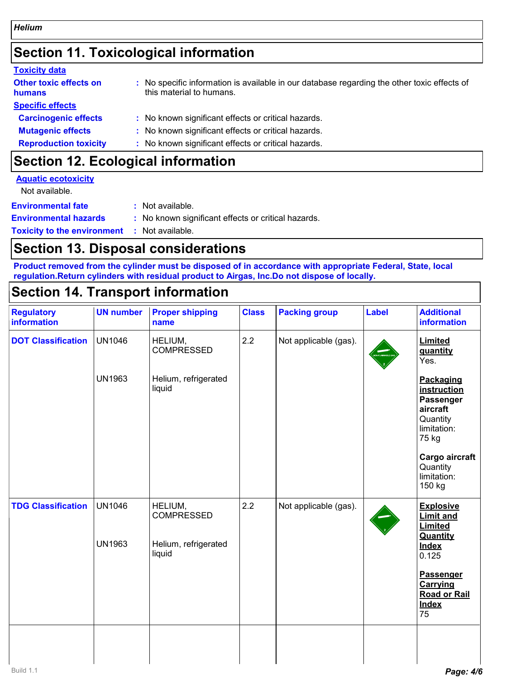# **Section 11. Toxicological information**

| <b>Toxicity data</b>                    |                                                                                                                         |
|-----------------------------------------|-------------------------------------------------------------------------------------------------------------------------|
| <b>Other toxic effects on</b><br>humans | : No specific information is available in our database regarding the other toxic effects of<br>this material to humans. |
| <b>Specific effects</b>                 |                                                                                                                         |
| <b>Carcinogenic effects</b>             | : No known significant effects or critical hazards.                                                                     |
| <b>Mutagenic effects</b>                | : No known significant effects or critical hazards.                                                                     |
| <b>Reproduction toxicity</b>            | : No known significant effects or critical hazards.                                                                     |
|                                         |                                                                                                                         |

### **Section 12. Ecological information**

| <b>Aquatic ecotoxicity</b>   |                                                     |
|------------------------------|-----------------------------------------------------|
| Not available.               |                                                     |
| <b>Environmental fate</b>    | : Not available.                                    |
| <b>Environmental hazards</b> | : No known significant effects or critical hazards. |

**Toxicity to the environment :** Not available.

# **Section 13. Disposal considerations**

**Product removed from the cylinder must be disposed of in accordance with appropriate Federal, State, local regulation.Return cylinders with residual product to Airgas, Inc.Do not dispose of locally.**

# **Section 14. Transport information**

| <b>Regulatory</b><br>information | <b>UN number</b>               | <b>Proper shipping</b><br>name                                 | <b>Class</b> | <b>Packing group</b>  | <b>Label</b> | <b>Additional</b><br>information                                                      |
|----------------------------------|--------------------------------|----------------------------------------------------------------|--------------|-----------------------|--------------|---------------------------------------------------------------------------------------|
| <b>DOT Classification</b>        | <b>UN1046</b>                  | HELIUM,<br><b>COMPRESSED</b>                                   | 2.2          | Not applicable (gas). |              | Limited<br>quantity<br>Yes.                                                           |
|                                  | <b>UN1963</b>                  | Helium, refrigerated<br>liquid                                 |              |                       |              | Packaging<br>instruction<br>Passenger<br>aircraft<br>Quantity<br>limitation:<br>75 kg |
|                                  |                                |                                                                |              |                       |              | Cargo aircraft<br>Quantity<br>limitation:<br>150 kg                                   |
| <b>TDG Classification</b>        | <b>UN1046</b><br><b>UN1963</b> | HELIUM,<br><b>COMPRESSED</b><br>Helium, refrigerated<br>liquid | 2.2          | Not applicable (gas). |              | <b>Explosive</b><br><b>Limit and</b><br>Limited<br>Quantity<br><b>Index</b>           |
|                                  |                                |                                                                |              |                       |              | 0.125<br>Passenger<br>Carrying<br><b>Road or Rail</b><br><b>Index</b><br>75           |
|                                  |                                |                                                                |              |                       |              |                                                                                       |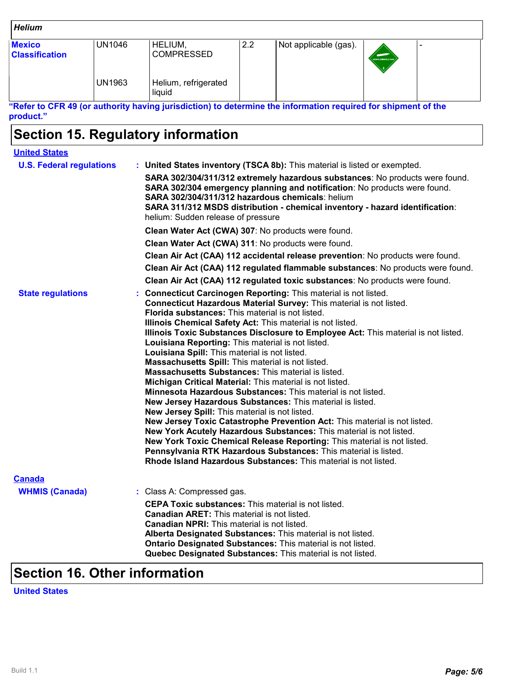| <b>Helium</b>                          |               |                                |     |                       |                  |  |
|----------------------------------------|---------------|--------------------------------|-----|-----------------------|------------------|--|
| <b>Mexico</b><br><b>Classification</b> | UN1046        | HELIUM,<br><b>COMPRESSED</b>   | 2.2 | Not applicable (gas). | NONFLAMMABLE GAS |  |
|                                        | <b>UN1963</b> | Helium, refrigerated<br>liquid |     |                       |                  |  |

**"Refer to CFR 49 (or authority having jurisdiction) to determine the information required for shipment of the product."**

# **Section 15. Regulatory information**

| <b>United States</b>                   |                                                                                                                                                                                                                                                                                                                                                                                                                                                                                                                                                                                                                                                                                                                                                                                                                                                                                                                                                                                                                                                                                                                                                                                                                                                                             |
|----------------------------------------|-----------------------------------------------------------------------------------------------------------------------------------------------------------------------------------------------------------------------------------------------------------------------------------------------------------------------------------------------------------------------------------------------------------------------------------------------------------------------------------------------------------------------------------------------------------------------------------------------------------------------------------------------------------------------------------------------------------------------------------------------------------------------------------------------------------------------------------------------------------------------------------------------------------------------------------------------------------------------------------------------------------------------------------------------------------------------------------------------------------------------------------------------------------------------------------------------------------------------------------------------------------------------------|
| <b>U.S. Federal regulations</b>        | : United States inventory (TSCA 8b): This material is listed or exempted.<br>SARA 302/304/311/312 extremely hazardous substances: No products were found.<br>SARA 302/304 emergency planning and notification: No products were found.<br>SARA 302/304/311/312 hazardous chemicals: helium<br>SARA 311/312 MSDS distribution - chemical inventory - hazard identification:<br>helium: Sudden release of pressure<br>Clean Water Act (CWA) 307: No products were found.<br>Clean Water Act (CWA) 311: No products were found.<br>Clean Air Act (CAA) 112 accidental release prevention: No products were found.<br>Clean Air Act (CAA) 112 regulated flammable substances: No products were found.                                                                                                                                                                                                                                                                                                                                                                                                                                                                                                                                                                           |
| <b>State regulations</b>               | Clean Air Act (CAA) 112 regulated toxic substances: No products were found.<br>Connecticut Carcinogen Reporting: This material is not listed.<br>Connecticut Hazardous Material Survey: This material is not listed.<br><b>Florida substances:</b> This material is not listed.<br>Illinois Chemical Safety Act: This material is not listed.<br>Illinois Toxic Substances Disclosure to Employee Act: This material is not listed.<br>Louisiana Reporting: This material is not listed.<br>Louisiana Spill: This material is not listed.<br>Massachusetts Spill: This material is not listed.<br>Massachusetts Substances: This material is listed.<br>Michigan Critical Material: This material is not listed.<br><b>Minnesota Hazardous Substances:</b> This material is not listed.<br>New Jersey Hazardous Substances: This material is listed.<br>New Jersey Spill: This material is not listed.<br>New Jersey Toxic Catastrophe Prevention Act: This material is not listed.<br>New York Acutely Hazardous Substances: This material is not listed.<br>New York Toxic Chemical Release Reporting: This material is not listed.<br>Pennsylvania RTK Hazardous Substances: This material is listed.<br>Rhode Island Hazardous Substances: This material is not listed. |
| <b>Canada</b><br><b>WHMIS (Canada)</b> | : Class A: Compressed gas.<br><b>CEPA Toxic substances:</b> This material is not listed.<br><b>Canadian ARET:</b> This material is not listed.<br><b>Canadian NPRI:</b> This material is not listed.<br>Alberta Designated Substances: This material is not listed.<br>Ontario Designated Substances: This material is not listed.<br>Quebec Designated Substances: This material is not listed.                                                                                                                                                                                                                                                                                                                                                                                                                                                                                                                                                                                                                                                                                                                                                                                                                                                                            |

# **Section 16. Other information**

#### **United States**